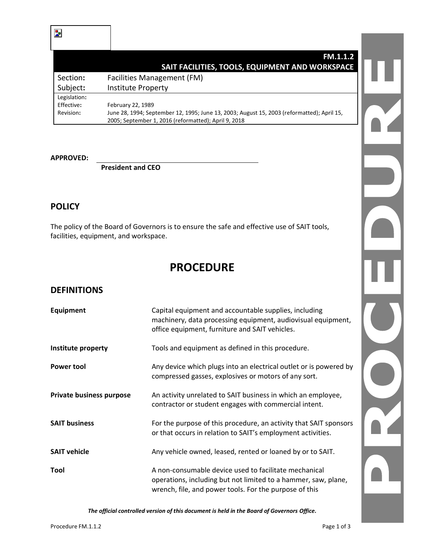|              | <b>FM.1.1.2</b>                                                                                                                                    |  |
|--------------|----------------------------------------------------------------------------------------------------------------------------------------------------|--|
|              | SAIT FACILITIES, TOOLS, EQUIPMENT AND WORKSPACE                                                                                                    |  |
| Section:     | Facilities Management (FM)                                                                                                                         |  |
| Subject:     | <b>Institute Property</b>                                                                                                                          |  |
| Legislation: |                                                                                                                                                    |  |
| Effective:   | February 22, 1989                                                                                                                                  |  |
| Revision:    | June 28, 1994; September 12, 1995; June 13, 2003; August 15, 2003 (reformatted); April 15,<br>2005; September 1, 2016 (reformatted); April 9, 2018 |  |

#### **APPROVED:**

**President and CEO**

#### **POLICY**

The policy of the Board of Governors is to ensure the safe and effective use of SAIT tools, facilities, equipment, and workspace.

# **PROCEDURE**

## **DEFINITIONS**

| <b>Equipment</b>         | Capital equipment and accountable supplies, including<br>machinery, data processing equipment, audiovisual equipment,<br>office equipment, furniture and SAIT vehicles.           |
|--------------------------|-----------------------------------------------------------------------------------------------------------------------------------------------------------------------------------|
| Institute property       | Tools and equipment as defined in this procedure.                                                                                                                                 |
| <b>Power tool</b>        | Any device which plugs into an electrical outlet or is powered by<br>compressed gasses, explosives or motors of any sort.                                                         |
| Private business purpose | An activity unrelated to SAIT business in which an employee,<br>contractor or student engages with commercial intent.                                                             |
| <b>SAIT business</b>     | For the purpose of this procedure, an activity that SAIT sponsors<br>or that occurs in relation to SAIT's employment activities.                                                  |
| <b>SAIT vehicle</b>      | Any vehicle owned, leased, rented or loaned by or to SAIT.                                                                                                                        |
| Tool                     | A non-consumable device used to facilitate mechanical<br>operations, including but not limited to a hammer, saw, plane,<br>wrench, file, and power tools. For the purpose of this |

*The official controlled version of this document is held in the Board of Governors Office.*

D.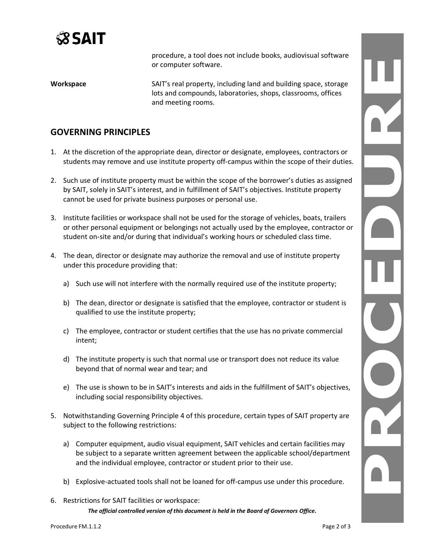

procedure, a tool does not include books, audiovisual software or computer software.

**Workspace** SAIT's real property, including land and building space, storage lots and compounds, laboratories, shops, classrooms, offices and meeting rooms.

#### **GOVERNING PRINCIPLES**

- 1. At the discretion of the appropriate dean, director or designate, employees, contractors or students may remove and use institute property off-campus within the scope of their duties.
- 2. Such use of institute property must be within the scope of the borrower's duties as assigned by SAIT, solely in SAIT's interest, and in fulfillment of SAIT's objectives. Institute property cannot be used for private business purposes or personal use.
- 3. Institute facilities or workspace shall not be used for the storage of vehicles, boats, trailers or other personal equipment or belongings not actually used by the employee, contractor or student on-site and/or during that individual's working hours or scheduled class time.
- 4. The dean, director or designate may authorize the removal and use of institute property under this procedure providing that:
	- a) Such use will not interfere with the normally required use of the institute property;
	- b) The dean, director or designate is satisfied that the employee, contractor or student is qualified to use the institute property;
	- c) The employee, contractor or student certifies that the use has no private commercial intent;
	- d) The institute property is such that normal use or transport does not reduce its value beyond that of normal wear and tear; and
	- e) The use is shown to be in SAIT's interests and aids in the fulfillment of SAIT's objectives, including social responsibility objectives.
- 5. Notwithstanding Governing Principle 4 of this procedure, certain types of SAIT property are subject to the following restrictions:
	- a) Computer equipment, audio visual equipment, SAIT vehicles and certain facilities may be subject to a separate written agreement between the applicable school/department and the individual employee, contractor or student prior to their use.
	- b) Explosive-actuated tools shall not be loaned for off-campus use under this procedure.
- *The official controlled version of this document is held in the Board of Governors Office.* 6. Restrictions for SAIT facilities or workspace: